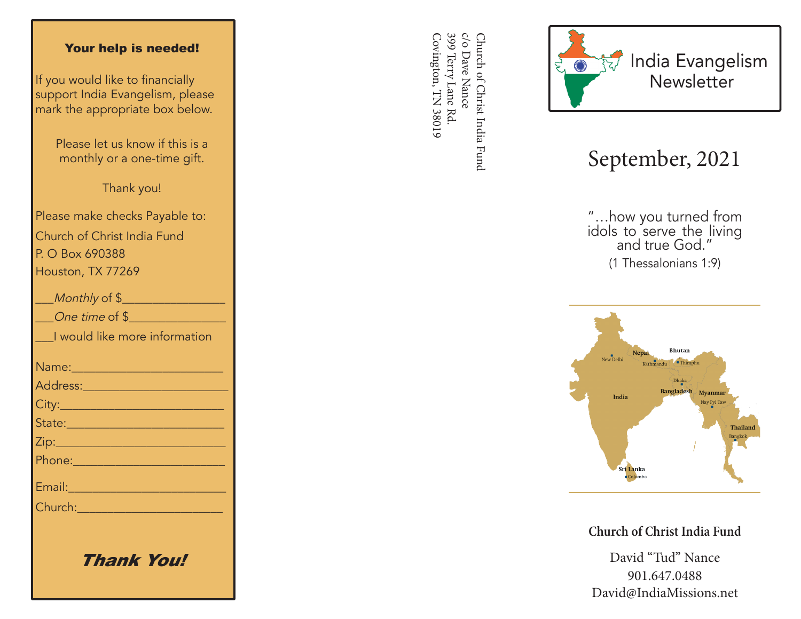## Your help is needed!

If you would like to financially support India Evangelism, please mark the appropriate box below.

> Please let us know if this is a monthly or a one-time gift.

> > Thank you!

Please make checks Payable to: Church of Christ India Fund P. O Box 690388 Houston, TX 77269

| Monthly of \$                                                                                                        |
|----------------------------------------------------------------------------------------------------------------------|
| One time of \$                                                                                                       |
| I would like more information                                                                                        |
|                                                                                                                      |
|                                                                                                                      |
|                                                                                                                      |
| State: 2008 - 2008 - 2010 - 2010 - 2011 - 2012 - 2012 - 2012 - 2014 - 2012 - 2014 - 2014 - 2014 - 2014 - 2014        |
|                                                                                                                      |
| <u> Phone: 2008 - 2008 - 2008 - 2018 - 2018 - 2018 - 2018 - 2018 - 2018 - 2018 - 2018 - 2018 - 2018 - 2018 - 201</u> |
| Email: 2008 - 2008 - 2010 - 2010 - 2011 - 2012 - 2012 - 2012 - 2014 - 2014 - 2014 - 2014 - 2014 - 2014 - 2014        |
| Church: 2008                                                                                                         |
|                                                                                                                      |
|                                                                                                                      |

Thank You!

399 Terry Lane Rd c/o Dave Nance Covington, TN 38019 Covington, TN 38019 399 Terry Lane Rd. c/o Dave Nance Church of Christ India Fund Church of Christ India Fund



## September, 2021

"…how you turned from idols to serve the living and true God." (1 Thessalonians 1:9)



**Church of Christ India Fund**

David "Tud" Nance 901.647.0488 David@IndiaMissions.net